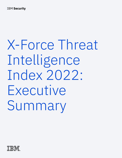**IBM Security** 

# X-Force Threat Intelligence Index 2022: Executive Summary

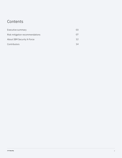### **Contents**

| Executive summary               | 03 |
|---------------------------------|----|
| Risk mitigation recommendations | 07 |
| About IBM Security X-Force      | 12 |
| Contributors                    | 14 |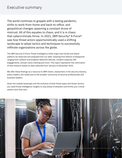The world continues to grapple with a lasting pandemic, shifts to work-from-home and back-to-office, and geopolitical changes spawning a constant drone of mistrust. All of this equates to chaos, and it is in chaos that cybercriminals thrive. In 2021, IBM Security® X-Force® saw how threat actors opportunistically used a shifting landscape to adopt tactics and techniques to successfully infiltrate organizations across the globe.

The IBM Security X-Force Threat Intelligence Index maps new trends and attack patterns we observed and analyzed from our data—drawing from billions of datapoints ranging from network and endpoint detection devices, incident response (IR) engagements, domain name tracking and more. This report represents the culmination of that research based on data collected from January to December 2021.

We offer these findings as a resource to IBM clients, researchers in the security industry, policy makers, the media and to the broader community of security professionals and business leaders.

Given the volatile landscape and the evolution of both threat types and threat vectors, you need threat intelligence insights to stay ahead of attackers and fortify your critical assets more than ever.

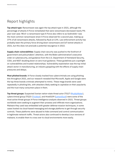### Report highlights

**Top attack type:** Ransomware was again the top attack type in 2021, although the percentage of attacks X-Force remediated that were ransomware decreased nearly 9% year-over-year. REvil—a ransomware type X-Force also refers to as Sodinokibi—was the most common ransomware strain X-Force observed for a second year, making up 37% of all ransomware attacks, followed by Ryuk at 13%. Law enforcement activity has probably been the primary force driving down ransomware and IoT botnet attacks in 2021, but this does not preclude a potential resurgence in 2022.

**Supply chain vulnerabilities:** Supply chain security was pushed to the forefront of government and policymakers' attention, with the Biden administration's executive order on cybersecurity, and guidance from the U.S. Department of Homeland Security, CISA, and NIST doubling down on zero trust guidance. These guidelines put a spotlight on vulnerabilities and trusted relationships. Vulnerability exploitation was the top initial attack vector in manufacturing, an industry grappling with the effects of supply chain pressures and delays.

**Most phished brands:** X-Force closely tracked how cybercriminals are using phishing kits throughout 2021, and our research revealed that Microsoft, Apple and Google were the top three brands criminals attempted to mimic. These mega brands were used repeatedly in phishing kits, with attackers likely seeking to capitalize on their popularity and the trust many consumers place in them.

**Top threat groups:** Suspected Iranian nation-state threat actor ITG17 (MuddyWater), cybercriminal group ITG23 (Trickbot), and Hive0109 (LemonDuck) were some of the most active threat groups X-Force intelligence analysts observed in 2021. Threat groups worldwide were seeking to augment their prowess and infiltrate more organizations. Malware they used was embedded with greater defense-evasion techniques, in some cases hosted via cloud-based messaging and storage platforms to get through security controls. These platforms were abused to hide command and control communication in legitimate network traffic. Threat actors also continued to develop Linux versions of malware, to enable them to cross over to cloud environments more easily.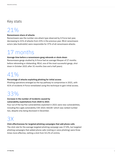### Key stats

# 21%

#### **Ransomware share of attacks**

Ransomware was the number one attack type observed by X-Force last year, decreasing to 21% of attacks from 23% in the previous year. REvil ransomware actors (aka Sodinokibi) were responsible for 37% of all ransomware attacks.

# 17 months

#### **Average time before a ransomware gang rebrands or shuts down**

Ransomware gangs studied by X-Force had an average lifespan of 17 months before rebranding or disbanding. REvil, one of the most successful gangs, shut down in October 2021 after 31 months (two and a half years).

# 41%

#### **Percentage of attacks exploiting phishing for initial access**

Phishing operations emerged as the top pathway to compromise in 2021, with 41% of incidents X-Force remediated using this technique to gain initial access.

# 33%

### **Increase in the number of incidents caused by vulnerability exploitations from 2020 to 2021**

Four out of the top five vulnerabilities exploited in 2021 were new vulnerabilities, including the Log4j vulnerability CVE-2021-44228—which was ranked number two, despite only being disclosed in December.

# 3X

#### **Click effectiveness for targeted phishing campaigns that add phone calls**

The click rate for the average targeted phishing campaign was 17.8%, but targeted phishing campaigns that added phone calls (vishing or voice phishing) were three times more effective, netting a click from 53.2% of victims.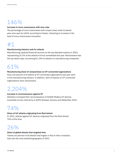# 146%

#### **Increase in Linux ransomware with new code**

The percentage of Linux ransomware with unique (new) code increased year-over-year by 146%, according to Intezer, indicating an increase in the level of Linux ransomware innovation.

# #1

#### **Manufacturing industry rank for attacks**

Manufacturing replaced financial services as the top attacked industry in 2021, representing 23.2% of the attacks X-Force remediated last year. Ransomware was the top attack type, accounting for 23% of attacks on manufacturing companies.

### 61%

#### **Manufacturing share of compromises on OT-connected organizations**

Sixty-one percent of incidents at OT-connected organizations last year were in the manufacturing industry. In addition, 36% of attacks on OT-connected organizations were ransomware.

# 2,204%

#### **Increase in reconnaissance against OT**

Attackers increased their reconnaissance of SCADA Modbus OT devices accessible via the internet by 2,204% between January and September 2021.

## 74%

#### **Share of IoT attacks originating from Mozi botnet**

In 2021, attacks against IoT devices originated from the Mozi botnet 74% of the time.

# 26%

#### **Share of global attacks that targeted Asia**

Twenty-six percent of all attacks had targets in Asia in their crosshairs. Asia was the most attacked geography of 2021.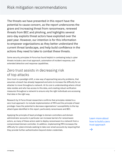The threats we have presented in this report have the potential to cause concern, as the report underscores the grave and increasing threat from ransomware, renewed threats from BEC and phishing, and highlights several zero-day exploits threat actors have exploited over the past year. However, our intention is for this information to empower organizations as they better understand the current threat landscape, and help build confidence in the actions they need to take to combat these threats.

Some security principles X-Force has found helpful in combating today's cyber threats include a zero trust approach, automation of incident response, and extended detection and response capabilities.

### Zero trust assists in decreasing risk of top attacks

Zero trust is a paradigm shift, a new way of approaching security problems, that assumes a breach has already happened and aims to increase the difficulty for an attacker to move throughout a network. At its core is understanding where critical data resides and who has access to this data, and creating robust verification measures throughout a network to ensure only the right individuals are accessing that data in the right way.

Research by X-Force threat researchers confirms that principles related to a zero trust approach—to include implementation of MFA and the principle of least privilege—have the potential to decrease organizations' susceptibility to the top attack types identified in this report, particularly ransomware and BEC.

Applying the principle of least privilege to domain controllers and domain administrator accounts in particular can increase barriers for ransomware actors, as many of these actors seek to deploy ransomware to a network from a compromised domain controller. In addition, implementing MFA increases the difficulty for cybercriminals seeking to take over email accounts by requiring that they provide further authentication beyond stolen credentials.

Learn more about how to build a zero trust approach

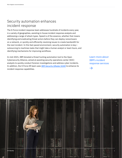### Security automation enhances incident response

The X-Force incident response team addresses hundreds of incidents every year, in a variety of geographies, assisting in-house incident response analysts and addressing a range of attack types. Speed is of the essence, whether that means identifying and eradicating threat actors before they can deploy ransomware on a network, or quickly and efficiently resolving issues to create bandwidth for the next incident. In this fast-paced environment, security automation is key outsourcing to machines tasks that might take a human analyst or team hours, and identifying mechanisms for improving workflows.

In mid-2021, IBM donated a threat hunting automation tool to the Open Cybersecurity Alliance, aimed at assisting security operations center (SOC) analysts to quickly conduct forensic investigations and address cyber incidents. In addition, the X-Force IR team uses IBM Security QRadar SOAR to enhance its incident response capabilities.

Learn more about IBM's incident response services

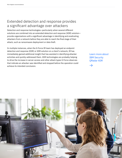### Extended detection and response provides a significant advantage over attackers

Detection and response technologies—particularly when several different solutions are combined into an extended detection and response (XDR) solution provide organizations with a significant advantage in identifying and eradicating attackers from a network before they are able to reach the final stage of their attack, such as ransomware deployment or data theft.

In multiple instances, when the X-Force IR team has deployed an endpoint detection and response (EDR) or XDR solution on a client's network, IR has immediately gained additional insight that has assisted in identifying attacker activities and quickly addressed them. XDR technologies are probably helping to drive the increase in server access and other attack types X-Force observes that indicate an attacker was identified and stopped before the operation could achieve its intended conclusion.

Learn more about IBM Security QRadar XDR

 $\rightarrow$ 

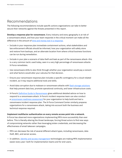### Recommendations

The following recommendations include specific actions organizations can take to better secure their networks against the threats presented in this report.

**Develop a response plan for ransomware.** Every industry and every geography is at risk of a ransomware attack, and how your team responds in the critical moment can make all the difference in the amount of time and money lost in a response.

- Include in your response plan immediate containment actions, what stakeholders and law enforcement officials should be informed, how your organization will safely store and restore from backups, and an alternate location from where critical business functions can be run during remediation.
- Include in your plan a scenario of data theft and leak as part of the ransomware attack—this is a very common tactic used today, seen in a very high percentage of ransomware attacks X-Force remediates.
- Use ransomware drills to also think through whether your organization would pay a ransom and what factors would alter your calculus for that decision.
- Ensure your ransomware response plan includes a specific contingency for a cloud-related incident, as it may require additional tools and skills.
- Avoid data corruption due to malware or ransomware attacks with flash storage solutions that help prevent data loss, promote operational continuity, and lower infrastructure costs.
- X-Force's Definitive Guide to Ransomware gives additional detailed advice on how to respond to a ransomware attack. X-Force's incident response team can also conduct a ransomware readiness assessment for your organization to help build and test a ransomware incident response plan. The X-Force Command Center similarly prepares organizations for a ransomware attack, taking into account both the business and technical response required.

#### **Implement multifactor authentication on every remote access point into a network.**

X-Force has observed more organizations implementing MFA more successfully than ever before. This is literally altering the threat landscape, forcing threat actors to find new ways of compromising networks rather than leveraging stolen credentials, and decreasing the effectiveness of email takeover campaigns.

- MFA can decrease the risk of several different attack types, including ransomware, data theft, BEC, and server access.
- In addition, identity and access management technologies are making MFA implementation easier every year—both for implementation teams and for end-users.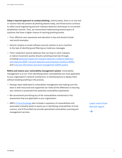**Adopt a layered approach to combat phishing.** Unfortunately, there is no one tool or solution that will prevent all phishing attacks today, and threat actors continue to refine social engineering and anti-malware detection techniques to circumvent established controls. Thus, we recommend implementing several layers of solutions that have a higher chance of catching phishing emails.

- First, effective user awareness and education is key and should include real-world examples.
- Second, employ an email software security solution to put a machine to the task of identifying and filtering out malicious messages.
- Third, implement several defenses that can help to catch malware or lateral movement quickly should a phishing email slip through, including behavioral-based anti-malware detection, endpoint detection and response (EDR), intrusion detection and prevention solutions (IDPS), and a security information and event management (SIEM) system.

**Refine and mature your vulnerability management system.** Vulnerability management is an art—from identifying which vulnerabilities are most applicable to your organization's network architecture, to identifying how to deploy them without breaking anything in the process.

- Having a team dedicated to vulnerability management and making sure this team is well-resourced and supported can make all the difference in ensuring your network is protected from potential vulnerability exploitation.
- We recommend prioritizing any of the vulnerabilities mentioned in this assessment that are applicable to your organization.
- IBM's X-Force Exchange also includes a repository of vulnerabilities and associated criticality levels to assist you in identifying vulnerabilities of most concern, and X-Force Red can provide specialized vulnerability scanning and management services.

Learn more from the full report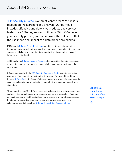### About IBM Security X-Force

IBM Security X-Force is a threat-centric team of hackers, responders, researchers and analysts. Our portfolio includes offensive and defensive products and services, fueled by a 360-degree view of threats. With X-Force as your security partner, you can affirm with confidence that the likelihood and impact of a data breach are minimal.

IBM Security X-Force Threat Intelligence combines IBM security operations telemetry, research, incident response investigations, commercial data, and open sources to aid clients in understanding emerging threats and quickly making informed security decisions.

Additionally, the X-Force Incident Response team provides detection, response, remediation, and preparedness services to help you minimize the impact of a data breach.

X-Force combined with the IBM Security Command Center experiences trains your team—from analysts to the C-suite—to be ready for the realities of today's threats. X-Force Red, IBM Security's team of hackers, provides offensive security services, including penetration testing, vulnerability management and adversary simulation.

Throughout the year, IBM X-Force researchers also provide ongoing research and analysis in the form of blogs, white papers, webinars and podcasts, highlighting our insight into advanced threat actors, new malware, and new attack methods. In addition, we provide a large body of current, cutting-edge analysis to subscription clients through our X-Force Threat Intelligence solutions.

Schedule a consultation with one of our X-Force experts

 $\rightarrow$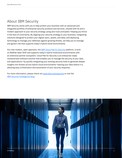### About IBM Security

IBM Security works with you to help protect your business with an advanced and integrated portfolio of enterprise security products and services, infused with AI and a modern approach to your security strategy using zero trust principles—helping you thrive in the face of uncertainty. By aligning your security strategy to your business; integrating solutions designed to protect your digital users, assets, and data; and deploying technology to manage your defenses against growing threats, we help you to manage and govern risk that supports today's hybrid cloud environments.

Our new modern, open approach, the IBM Cloud Pak for Security platform, is built on RedHat Open Shift and supports today's hybrid multicloud environments with an extensive partner ecosystem. Cloud Pak for Security is an enterprise-ready containerized software solution that enables you to manage the security of your data and applications—by quickly integrating your existing security tools to generate deeper insights into threats across hybrid cloud environments—leaving your data where it is, allowing easy orchestration and automation of your security response.

For more information, please check out www.ibm.com/security or visit the IBM Security Intelligence blog.